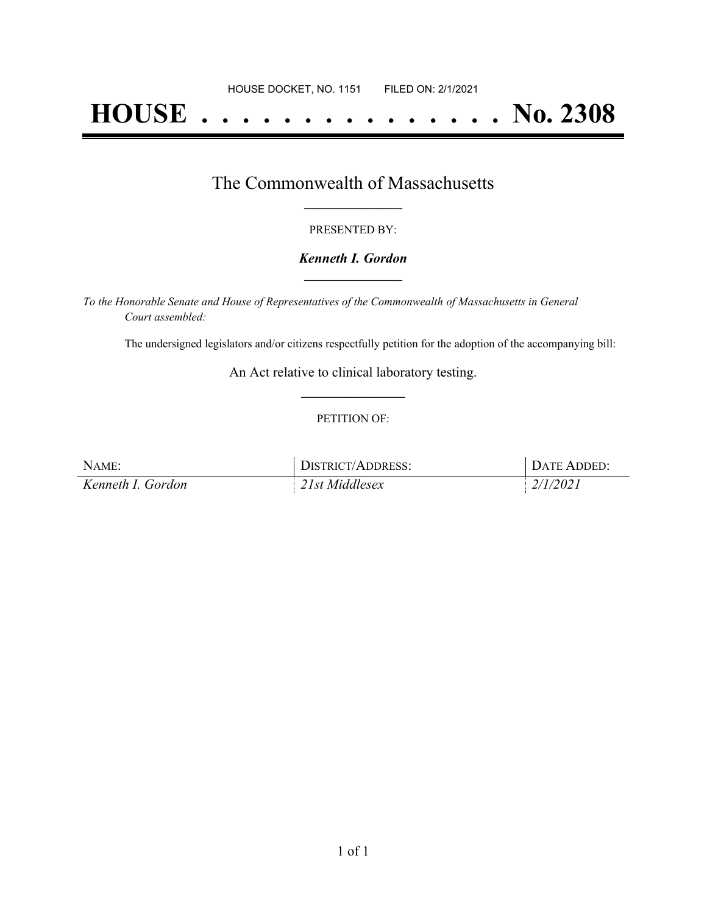# **HOUSE . . . . . . . . . . . . . . . No. 2308**

## The Commonwealth of Massachusetts **\_\_\_\_\_\_\_\_\_\_\_\_\_\_\_\_\_**

#### PRESENTED BY:

#### *Kenneth I. Gordon* **\_\_\_\_\_\_\_\_\_\_\_\_\_\_\_\_\_**

*To the Honorable Senate and House of Representatives of the Commonwealth of Massachusetts in General Court assembled:*

The undersigned legislators and/or citizens respectfully petition for the adoption of the accompanying bill:

An Act relative to clinical laboratory testing. **\_\_\_\_\_\_\_\_\_\_\_\_\_\_\_**

#### PETITION OF:

| NAME:             | DISTRICT/ADDRESS: | DATE ADDED: |
|-------------------|-------------------|-------------|
| Kenneth I. Gordon | 21st Middlesex    | 2/1/2021    |